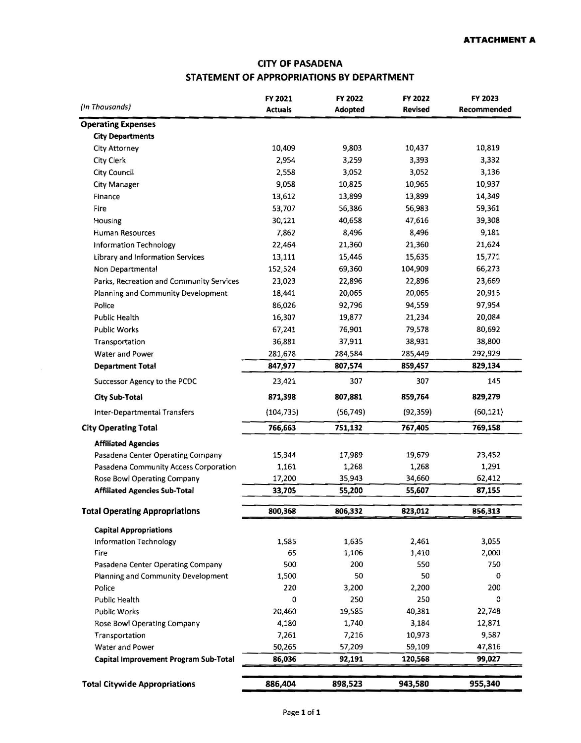## **CITY OF PASADENA STATEMENT OF APPROPRIATIONS BY DEPARTMENT**

|                                          | FY 2021        | FY 2022   | FY 2022        | FY 2023     |
|------------------------------------------|----------------|-----------|----------------|-------------|
| (In Thousands)                           | <b>Actuals</b> | Adopted   | <b>Revised</b> | Recommended |
| <b>Operating Expenses</b>                |                |           |                |             |
| <b>City Departments</b>                  |                |           |                |             |
| City Attorney                            | 10,409         | 9,803     | 10,437         | 10,819      |
| City Clerk                               | 2,954          | 3,259     | 3,393          | 3,332       |
| <b>City Council</b>                      | 2,558          | 3,052     | 3,052          | 3,136       |
| <b>City Manager</b>                      | 9,058          | 10,825    | 10,965         | 10,937      |
| Finance                                  | 13,612         | 13,899    | 13,899         | 14,349      |
| Fire                                     | 53,707         | 56,386    | 56,983         | 59,361      |
| Housing                                  | 30,121         | 40,658    | 47,616         | 39,308      |
| <b>Human Resources</b>                   | 7,862          | 8,496     | 8,496          | 9,181       |
| Information Technology                   | 22,464         | 21,360    | 21,360         | 21,624      |
| Library and Information Services         | 13,111         | 15,446    | 15,635         | 15,771      |
| Non Departmental                         | 152,524        | 69,360    | 104,909        | 66,273      |
| Parks, Recreation and Community Services | 23,023         | 22,896    | 22,896         | 23,669      |
| Planning and Community Development       | 18,441         | 20,065    | 20,065         | 20,915      |
| Police                                   | 86,026         | 92,796    | 94,559         | 97,954      |
| <b>Public Health</b>                     | 16,307         | 19,877    | 21,234         | 20,084      |
| <b>Public Works</b>                      | 67,241         | 76,901    | 79,578         | 80,692      |
| Transportation                           | 36,881         | 37,911    | 38,931         | 38,800      |
| Water and Power                          | 281,678        | 284,584   | 285,449        | 292,929     |
| <b>Department Total</b>                  | 847,977        | 807,574   | 859,457        | 829,134     |
| Successor Agency to the PCDC             | 23,421         | 307       | 307            | 145         |
| <b>City Sub-Total</b>                    | 871,398        | 807,881   | 859,764        | 829,279     |
| Inter-Departmental Transfers             | (104, 735)     | (56, 749) | (92, 359)      | (60, 121)   |
| <b>City Operating Total</b>              | 766,663        | 751,132   | 767,405        | 769,158     |
| <b>Affiliated Agencies</b>               |                |           |                |             |
| Pasadena Center Operating Company        | 15,344         | 17,989    | 19,679         | 23,452      |
| Pasadena Community Access Corporation    | 1,161          | 1,268     | 1,268          | 1,291       |
| Rose Bowl Operating Company              | 17,200         | 35,943    | 34,660         | 62,412      |
| <b>Affiliated Agencies Sub-Total</b>     | 33,705         | 55,200    | 55,607         | 87,155      |
| <b>Total Operating Appropriations</b>    | 800,368        | 806,332   | 823,012        | 856,313     |
| <b>Capital Appropriations</b>            |                |           |                |             |
| Information Technology                   | 1,585          | 1,635     | 2,461          | 3,055       |
| Fire                                     | 65             | 1,106     | 1,410          | 2,000       |
| Pasadena Center Operating Company        | 500            | 200       | 550            | 750         |
| Planning and Community Development       | 1,500          | 50        | 50             | 0           |
| Police                                   | 220            | 3,200     | 2,200          | 200         |
| Public Health                            | 0              | 250       | 250            | 0           |
| <b>Public Works</b>                      | 20,460         | 19,585    | 40,381         | 22,748      |
| Rose Bowl Operating Company              | 4,180          | 1,740     | 3,184          | 12,871      |
| Transportation                           | 7,261          | 7,216     | 10,973         | 9,587       |
| Water and Power                          | 50,265         | 57,209    | 59,109         | 47,816      |
| Capital Improvement Program Sub-Total    | 86,036         | 92,191    | 120,568        | 99,027      |
|                                          |                |           |                |             |
| <b>Total Citywide Appropriations</b>     | 886,404        | 898,523   | 943,580        | 955,340     |